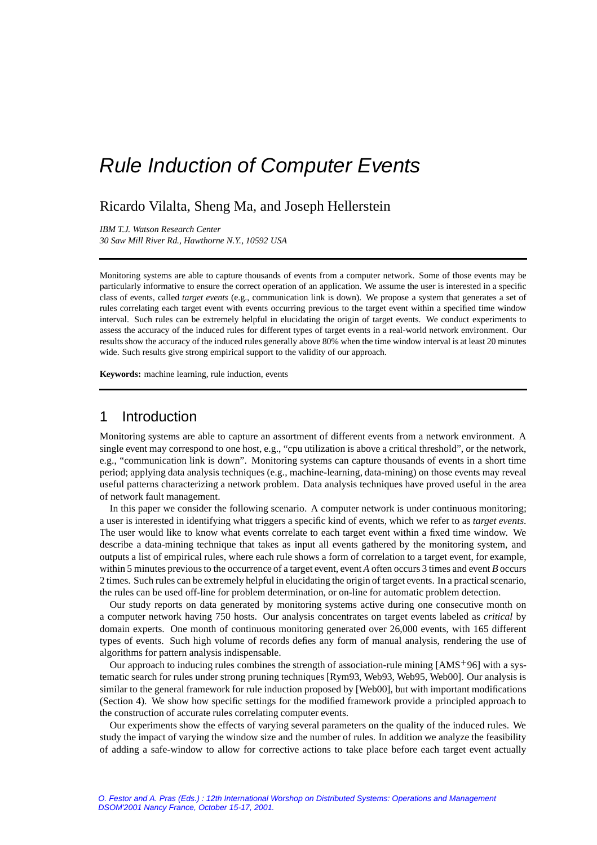# Rule Induction of Computer Events

# Ricardo Vilalta, Sheng Ma, and Joseph Hellerstein

*IBM T.J. Watson Research Center 30 Saw Mill River Rd., Hawthorne N.Y., 10592 USA*

Monitoring systems are able to capture thousands of events from a computer network. Some of those events may be particularly informative to ensure the correct operation of an application. We assume the user is interested in a specific class of events, called *target events* (e.g., communication link is down). We propose a system that generates a set of rules correlating each target event with events occurring previous to the target event within a specified time window interval. Such rules can be extremely helpful in elucidating the origin of target events. We conduct experiments to assess the accuracy of the induced rules for different types of target events in a real-world network environment. Our results show the accuracy of the induced rules generally above 80% when the time window interval is at least 20 minutes wide. Such results give strong empirical support to the validity of our approach.

**Keywords:** machine learning, rule induction, events

# 1 Introduction

Monitoring systems are able to capture an assortment of different events from a network environment. A single event may correspond to one host, e.g., "cpu utilization is above a critical threshold", or the network, e.g., "communication link is down". Monitoring systems can capture thousands of events in a short time period; applying data analysis techniques (e.g., machine-learning, data-mining) on those events may reveal useful patterns characterizing a network problem. Data analysis techniques have proved useful in the area of network fault management.

In this paper we consider the following scenario. A computer network is under continuous monitoring; a user is interested in identifying what triggers a specific kind of events, which we refer to as *target events*. The user would like to know what events correlate to each target event within a fixed time window. We describe a data-mining technique that takes as input all events gathered by the monitoring system, and outputs a list of empirical rules, where each rule shows a form of correlation to a target event, for example, within 5 minutes previous to the occurrence of a target event, event *A* often occurs 3 times and event *B* occurs 2 times. Such rules can be extremely helpful in elucidating the origin of target events. In a practicalscenario, the rules can be used off-line for problem determination, or on-line for automatic problem detection.

Our study reports on data generated by monitoring systems active during one consecutive month on a computer network having 750 hosts. Our analysis concentrates on target events labeled as *critical* by domain experts. One month of continuous monitoring generated over 26,000 events, with 165 different types of events. Such high volume of records defies any form of manual analysis, rendering the use of algorithms for pattern analysis indispensable.

Our approach to inducing rules combines the strength of association-rule mining  $[AMS^+96]$  with a systematic search for rules under strong pruning techniques [Rym93, Web93, Web95, Web00]. Our analysis is similar to the general framework for rule induction proposed by [Web00], but with important modifications (Section 4). We show how specific settings for the modified framework provide a principled approach to the construction of accurate rules correlating computer events.

Our experiments show the effects of varying several parameters on the quality of the induced rules. We study the impact of varying the window size and the number of rules. In addition we analyze the feasibility of adding a safe-window to allow for corrective actions to take place before each target event actually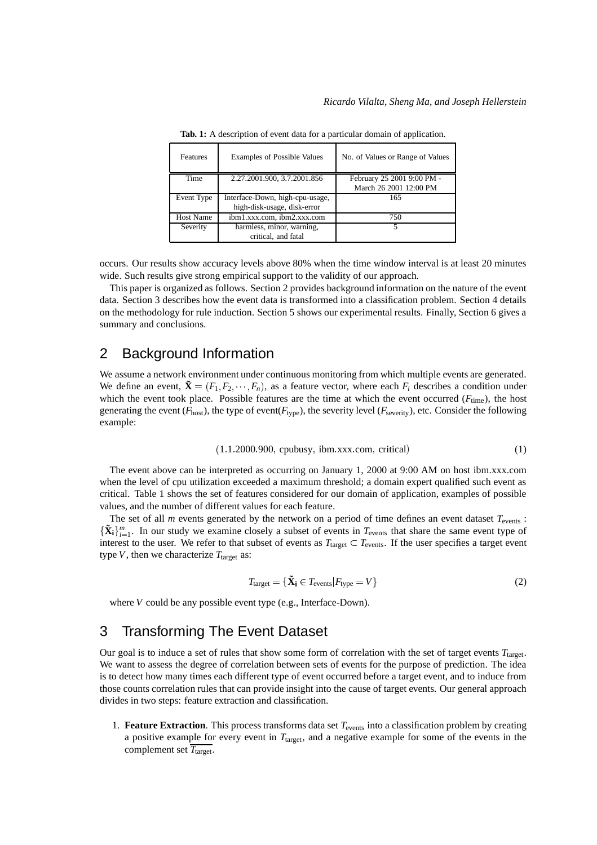| Features         | <b>Examples of Possible Values</b> | No. of Values or Range of Values |
|------------------|------------------------------------|----------------------------------|
| Time             | 2.27.2001.900, 3.7.2001.856        | February 25 2001 9:00 PM -       |
|                  |                                    | March 26 2001 12:00 PM           |
|                  |                                    |                                  |
| Event Type       | Interface-Down, high-cpu-usage,    | 165                              |
|                  | high-disk-usage, disk-error        |                                  |
| <b>Host Name</b> | ibm1.xxx.com, ibm2.xxx.com         | 750                              |
| Severity         | harmless, minor, warning,          |                                  |

**Tab. 1:** A description of event data for a particular domain of application.

occurs. Our results show accuracy levels above 80% when the time window interval is at least 20 minutes wide. Such results give strong empirical support to the validity of our approach.

This paper is organized as follows. Section 2 provides background information on the nature of the event data. Section 3 describes how the event data is transformed into a classification problem. Section 4 details on the methodology for rule induction. Section 5 shows our experimental results. Finally, Section 6 gives a summary and conclusions.

### 2 Background Information

We assume a network environment under continuous monitoring from which multiple events are generated. We define an event,  $\tilde{\mathbf{X}} = (F_1, F_2, \dots, F_n)$ , as a feature vector, where each  $F_i$  describes a condition under which the event took place. Possible features are the time at which the event occurred  $(F_{time})$ , the host generating the event ( $F_{\text{host}}$ ), the type of event( $F_{\text{type}}$ ), the severity level ( $F_{\text{seveity}}$ ), etc. Consider the following example:

$$
(1.1.2000.900, \text{cpubusy}, \text{ibm.xxx.com}, \text{critical})
$$
\n
$$
(1)
$$

The event above can be interpreted as occurring on January 1, 2000 at 9:00 AM on host ibm.xxx.com when the level of cpu utilization exceeded a maximum threshold; a domain expert qualified such event as critical. Table 1 shows the set of features considered for our domain of application, examples of possible values, and the number of different values for each feature.

The set of all *m* events generated by the network on a period of time defines an event dataset  $T_{\text{events}}$ :  $\{\tilde{\mathbf{X}}_i\}_{i=1}^m$ . In our study we examine closely a subset of events in  $T_{\text{events}}$  that share the same event type of interest to the user. We refer to that subset of events as  $T_{\text{target}} \subset T_{\text{events}}$ . If the user specifies a target event type  $V$ , then we characterize  $T_{\text{target}}$  as:

$$
T_{\text{target}} = \{ \tilde{\mathbf{X}}_{i} \in T_{\text{events}} | F_{\text{type}} = V \}
$$
 (2)

where *V* could be any possible event type (e.g., Interface-Down).

# 3 Transforming The Event Dataset

Our goal is to induce a set of rules that show some form of correlation with the set of target events  $T_{\text{target}}$ . We want to assess the degree of correlation between sets of events for the purpose of prediction. The idea is to detect how many times each different type of event occurred before a target event, and to induce from those counts correlation rules that can provide insight into the cause of target events. Our general approach divides in two steps: feature extraction and classification.

1. **Feature Extraction**. This process transforms data set  $T_{\text{events}}$  into a classification problem by creating a positive example for every event in  $T_{\text{target}}$ , and a negative example for some of the events in the complement set  $\overline{T_{\text{target}}}.$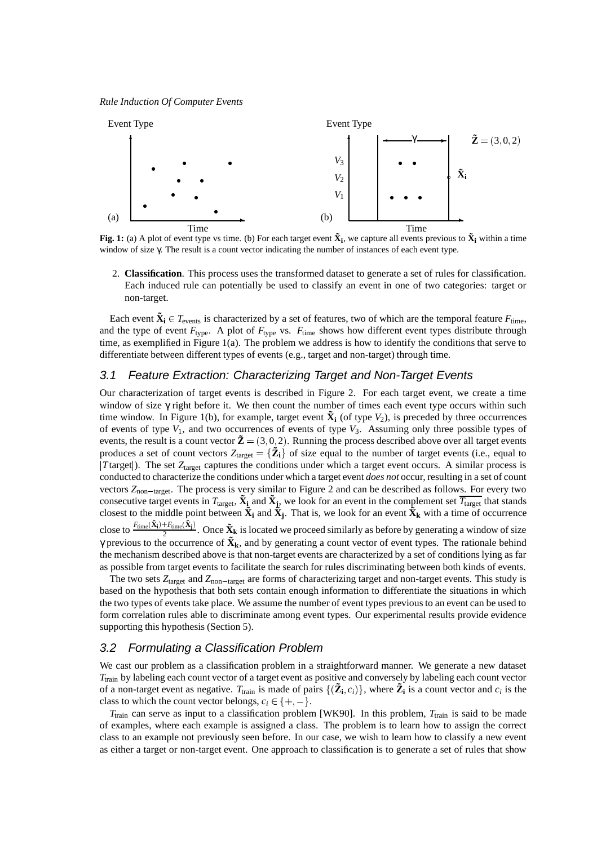*Rule Induction Of Computer Events*



**Fig. 1:** (a) A plot of event type vs time. (b) For each target event  $\tilde X_i$ , we capture all events previous to  $\tilde X_i$  within a time window of size γ. The result is a count vector indicating the number of instances of each event type.

2. **Classification**. This process uses the transformed dataset to generate a set of rules for classification. Each induced rule can potentially be used to classify an event in one of two categories: target or non-target.

Each event  $\tilde{\mathbf{X}}_i \in T_{\text{events}}$  is characterized by a set of features, two of which are the temporal feature  $F_{\text{time}}$ , and the type of event  $F_{\text{type}}$ . A plot of  $F_{\text{type}}$  vs.  $F_{\text{time}}$  shows how different event types distribute through time, as exemplified in Figure 1(a). The problem we address is how to identify the conditions that serve to differentiate between different types of events (e.g., target and non-target) through time.

#### 3.1 Feature Extraction: Characterizing Target and Non-Target Events

Our characterization of target events is described in Figure 2. For each target event, we create a time window of size γ right before it. We then count the number of times each event type occurs within such time window. In Figure 1(b), for example, target event  $\tilde{\mathbf{X}}_i$  (of type  $V_2$ ), is preceded by three occurrences of events of type  $V_1$ , and two occurrences of events of type  $V_3$ . Assuming only three possible types of events, the result is a count vector  $\tilde{\mathbf{Z}} = (3,0,2)$ . Running the process described above over all target events produces a set of count vectors  $Z_{\text{target}} = {\tilde{Z}_i}$  of size equal to the number of target events (i.e., equal to *T*target). The set *Z*<sub>target</sub> captures the conditions under which a target event occurs. A similar process is conducted to characterize the conditions under which a target event *does not* occur, resulting in a set of count vectors  $Z_{\text{non-target}}$ . The process is very similar to Figure 2 and can be described as follows. For every two consecutive target events in  $T_{\text{target}}$ ,  $\tilde{\bf X}_i$  and  $\tilde{\bf X}_j$ , we look for an event in the complement set  $\overline{T_{\text{target}}}$  that stands closest to the middle point between  $\tilde{X}_i$  and  $\tilde{X}_j$ . That is, we look for an event  $\tilde{X}_k$  with a time of occurrence close to  $\frac{F_{\text{time}}(\tilde{\mathbf{X}}_i)+F_{\text{time}}(\tilde{\mathbf{X}}_j)}{2}$ . Once  $\tilde{\mathbf{X}}_k$  is located we proceed similarly as before by generating a window of size γ previous to the occurrence of **X˜ <sup>k</sup>**, and by generating a count vector of event types. The rationale behind the mechanism described above is that non-target events are characterized by a set of conditions lying as far

as possible from target events to facilitate the search for rules discriminating between both kinds of events. The two sets  $Z_{\text{target}}$  and  $Z_{\text{non-target}}$  are forms of characterizing target and non-target events. This study is based on the hypothesis that both sets contain enough information to differentiate the situations in which the two types of events take place. We assume the number of event types previous to an event can be used to form correlation rules able to discriminate among event types. Our experimental results provide evidence supporting this hypothesis (Section 5).

#### 3.2 Formulating a Classification Problem

We cast our problem as a classification problem in a straightforward manner. We generate a new dataset *T*train by labeling each count vector of a target event as positive and conversely by labeling each count vector of a non-target event as negative.  $T_{\text{train}}$  is made of pairs  $\{(\tilde{\mathbf{Z}}_i,c_i)\}\text{, where }\tilde{\mathbf{Z}}_i$  is a count vector and  $c_i$  is the class to which the count vector belongs,  $c_i \in \{+, -\}.$  $, -$ }.

*T*<sub>train</sub> can serve as input to a classification problem [WK90]. In this problem, *T*<sub>train</sub> is said to be made of examples, where each example is assigned a class. The problem is to learn how to assign the correct class to an example not previously seen before. In our case, we wish to learn how to classify a new event as either a target or non-target event. One approach to classification is to generate a set of rules that show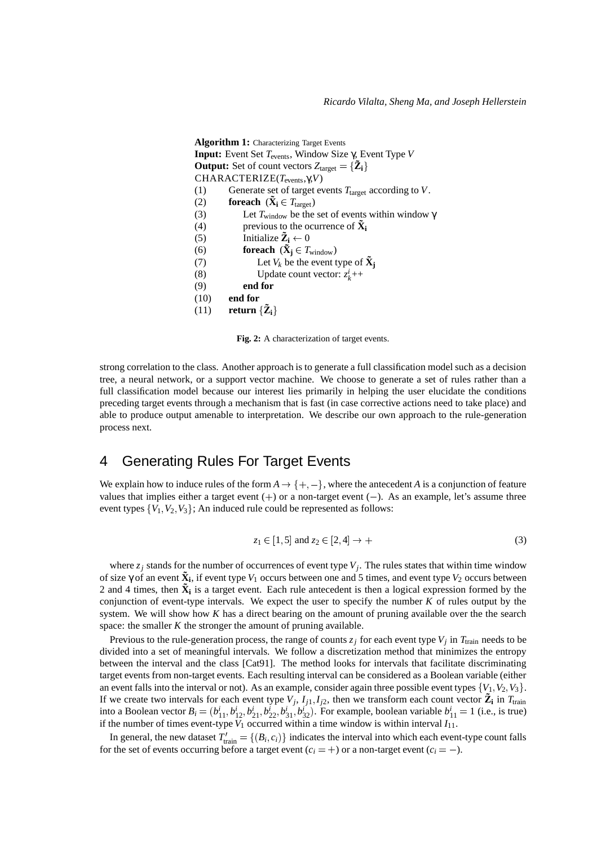```
Algorithm 1: Characterizing Target Events
Input: Event Set Tevents, Window Size γ, Event Type V
Output: Set of count vectors Z_{\text{target}} = {\tilde{Z}_i}CHARACTERIZE(Tevents,γ,V)
(1) Generate set of target events T_{\text{target}} according to V.
(2) foreach (\mathbf{\tilde{X}}_i \in T_{\text{target}})(3) Let T_{window} be the set of events within window \gamma(4) previous to the ocurrence of \tilde{\mathbf{X}}_i(5) Initialize \tilde{\mathbf{Z}}_i \leftarrow 0(6) foreach (\tilde{\mathbf{X}}_j \in T_{window})(7) Let V_k be the event type of \tilde{\mathbf{X}}_j(8) Update count vector: z_k^i++
(9) end for
(10) end for
(11) return \{\tilde{\mathbf{Z}}_i\}
```
**Fig. 2:** A characterization of target events.

strong correlation to the class. Another approach is to generate a full classification model such as a decision tree, a neural network, or a support vector machine. We choose to generate a set of rules rather than a full classification model because our interest lies primarily in helping the user elucidate the conditions preceding target events through a mechanism that is fast (in case corrective actions need to take place) and able to produce output amenable to interpretation. We describe our own approach to the rule-generation process next.

# 4 Generating Rules For Target Events

We explain how to induce rules of the form  $A \rightarrow \{+, -\}$ , where  $, -$ }, where the antecedent *A* is a conjunction of feature values that implies either a target event  $(+)$  or a non-target event  $(-)$ . As an example, let's assume three event types  $\{V_1, V_2, V_3\}$ ; An induced rule could be represented as follows:

$$
z_1 \in [1,5] \text{ and } z_2 \in [2,4] \to +
$$
 (3)

where  $z_j$  stands for the number of occurrences of event type  $V_j$ . The rules states that within time window of size γ of an event  $\tilde{\mathbf{X}}_i$ , if event type  $V_1$  occurs between one and 5 times, and event type  $V_2$  occurs between 2 and 4 times, then  $\tilde{\mathbf{X}}_i$  is a target event. Each rule antecedent is then a logical expression formed by the conjunction of event-type intervals. We expect the user to specify the number  $K$  of rules output by the system. We will show how *K* has a direct bearing on the amount of pruning available over the the search space: the smaller *K* the stronger the amount of pruning available.

Previous to the rule-generation process, the range of counts  $z_j$  for each event type  $V_j$  in  $T_{\text{train}}$  needs to be divided into a set of meaningful intervals. We follow a discretization method that minimizes the entropy between the interval and the class [Cat91]. The method looks for intervals that facilitate discriminating target events from non-target events. Each resulting interval can be considered as a Boolean variable (either an event falls into the interval or not). As an example, consider again three possible event types  $\{V_1, V_2, V_3\}$ . If we create two intervals for each event type  $V_j$ ,  $I_{j1}$ ,  $I_{j2}$ , then we transform each count vector  $\tilde{Z}_i$  in  $T_{\text{train}}$ into a Boolean vector  $B_i = (b_{11}^i, b_{12}^i, b_{21}^i, b_{22}^i, b_{31}^i, b_{32}^i)$ . For example, boolean variable  $b_{11}^i = 1$  (i.e., is true) if the number of times event-type  $V_1$  occurred within a time window is within interval  $I_{11}$ .

In general, the new dataset  $T'_{\text{train}} = \{(B_i, c_i)\}\$  indicates the interval into which each event-type count falls for the set of events occurring before a target event  $(c_i = +)$  or a non-target event  $(c_i = -)$ .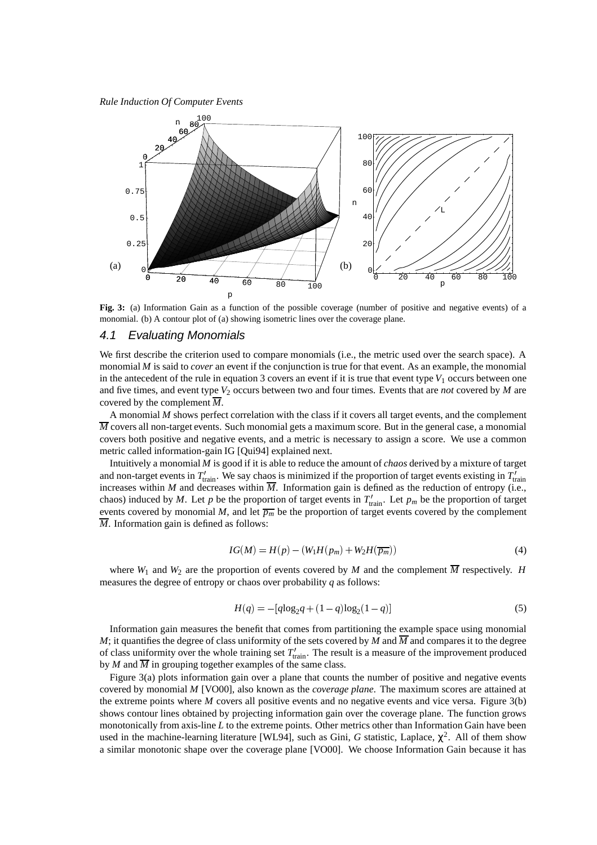*Rule Induction Of Computer Events*



**Fig. 3:** (a) Information Gain as a function of the possible coverage (number of positive and negative events) of a monomial. (b) A contour plot of (a) showing isometric lines over the coverage plane.

### 4.1 Evaluating Monomials

We first describe the criterion used to compare monomials (i.e., the metric used over the search space). A monomial *M* is said to *cover* an event if the conjunction is true for that event. As an example, the monomial in the antecedent of the rule in equation  $3$  covers an event if it is true that event type  $V_1$  occurs between one and five times, and event type  $V_2$  occurs between two and four times. Events that are *not* covered by *M* are covered by the complement  $\overline{M}$ .

A monomial *M* shows perfect correlation with the class if it covers all target events, and the complement  $\overline{M}$  covers all non-target events. Such monomial gets a maximum score. But in the general case, a monomial covers both positive and negative events, and a metric is necessary to assign a score. We use a common metric called information-gain IG [Qui94] explained next.

Intuitively a monomial *M* is good if it is able to reduce the amount of *chaos* derived by a mixture of target and non-target events in  $T'_{\text{train}}$ . We say chaos is minimized if the proportion of target events existing in  $T'_{\text{train}}$ increases within *M* and decreases within  $\overline{M}$ . Information gain is defined as the reduction of entropy (i.e., chaos) induced by *M*. Let *p* be the proportion of target events in  $T'_{\text{train}}$ . Let  $p_m$  be the proportion of target events covered by monomial *M*, and let  $\overline{p_m}$  be the proportion of target events covered by the complement  $\overline{M}$ . Information gain is defined as follows:

$$
IG(M) = H(p) - (W_1 H(p_m) + W_2 H(\overline{p_m}))
$$
\n<sup>(4)</sup>

where  $W_1$  and  $W_2$  are the proportion of events covered by *M* and the complement  $\overline{M}$  respectively. *H* measures the degree of entropy or chaos over probability *q* as follows:

$$
H(q) = -[q\log_2 q + (1-q)\log_2(1-q)]\tag{5}
$$

Information gain measures the benefit that comes from partitioning the example space using monomial *M*; it quantifies the degree of class uniformity of the sets covered by *M* and  $\overline{M}$  and compares it to the degree of class uniformity over the whole training set  $T'_{\text{train}}$ . The result is a measure of the improvement produced by *M* and  $\overline{M}$  in grouping together examples of the same class.

Figure 3(a) plots information gain over a plane that counts the number of positive and negative events covered by monomial *M* [VO00], also known as the *coverage plane*. The maximum scores are attained at the extreme points where *M* covers all positive events and no negative events and vice versa. Figure 3(b) shows contour lines obtained by projecting information gain over the coverage plane. The function grows monotonically from axis-line *L* to the extreme points. Other metrics other than Information Gain have been used in the machine-learning literature [WL94], such as Gini, *G* statistic, Laplace,  $\chi^2$ . All of them show a similar monotonic shape over the coverage plane [VO00]. We choose Information Gain because it has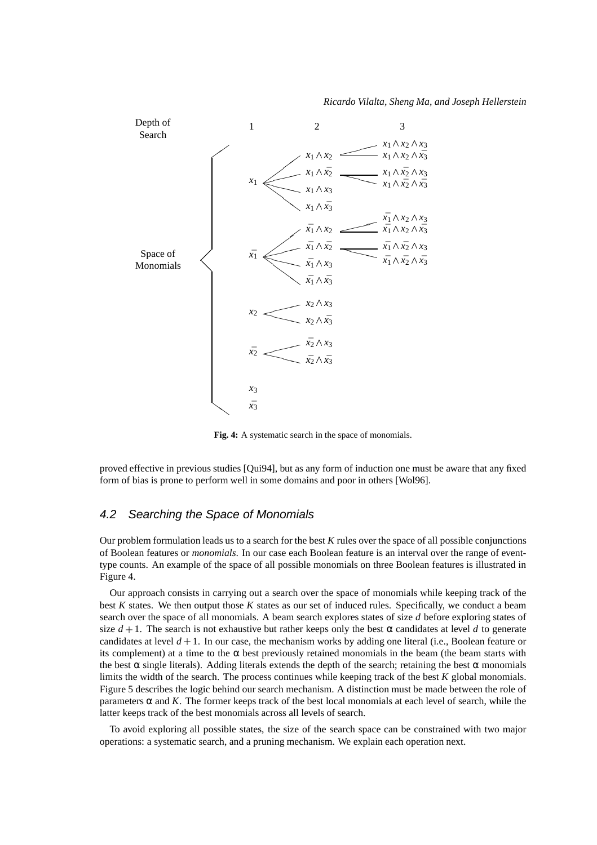*Ricardo Vilalta, Sheng Ma, and Joseph Hellerstein*



**Fig. 4:** A systematic search in the space of monomials.

proved effective in previous studies [Qui94], but as any form of induction one must be aware that any fixed form of bias is prone to perform well in some domains and poor in others [Wol96].

### 4.2 Searching the Space of Monomials

Our problem formulation leads us to a search for the best *K* rules over the space of all possible conjunctions of Boolean features or *monomials*. In our case each Boolean feature is an interval over the range of eventtype counts. An example of the space of all possible monomials on three Boolean features is illustrated in Figure 4.

Our approach consists in carrying out a search over the space of monomials while keeping track of the best *K* states. We then output those *K* states as our set of induced rules. Specifically, we conduct a beam search over the space of all monomials. A beam search explores states of size *d* before exploring states of size  $d+1$ . The search is not exhaustive but rather keeps only the best  $\alpha$  candidates at level d to generate candidates at level *d* 1. In our case, the mechanism works by adding one literal (i.e., Boolean feature or its complement) at a time to the  $\alpha$  best previously retained monomials in the beam (the beam starts with the best  $\alpha$  single literals). Adding literals extends the depth of the search; retaining the best  $\alpha$  monomials limits the width of the search. The process continues while keeping track of the best *K* global monomials. Figure 5 describes the logic behind our search mechanism. A distinction must be made between the role of parameters  $\alpha$  and K. The former keeps track of the best local monomials at each level of search, while the latter keeps track of the best monomials across all levels of search.

To avoid exploring all possible states, the size of the search space can be constrained with two major operations: a systematic search, and a pruning mechanism. We explain each operation next.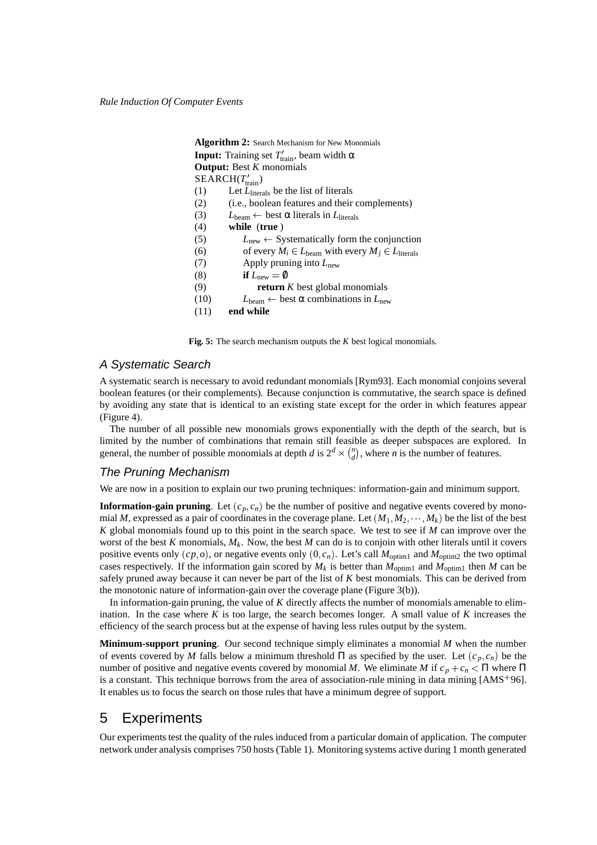|      | <b>Algorithm 2:</b> Search Mechanism for New Monomials                       |
|------|------------------------------------------------------------------------------|
|      | <b>Input:</b> Training set $T'_{\text{train}}$ , beam width $\alpha$         |
|      | <b>Output:</b> Best $K$ monomials                                            |
|      | $SEARCH(T'_{train})$                                                         |
| (1)  | Let $L_{\text{literals}}$ be the list of literals                            |
| (2)  | ( <i>i.e.</i> , boolean features and their complements)                      |
| (3)  | $L_{\text{beam}} \leftarrow$ best $\alpha$ literals in $L_{\text{literals}}$ |
| (4)  | while (true)                                                                 |
| (5)  | $L_{\text{new}} \leftarrow$ Systematically form the conjunction              |
| (6)  | of every $M_i \in L_{\text{beam}}$ with every $M_i \in L_{\text{literals}}$  |
| (7)  | Apply pruning into $L_{\text{new}}$                                          |
| (8)  | if $L_{\text{new}} = \emptyset$                                              |
| (9)  | <b>return</b> $K$ best global monomials                                      |
| (10) | $L_{\text{beam}} \leftarrow$ best $\alpha$ combinations in $L_{\text{new}}$  |
| (11) | end while                                                                    |

**Fig. 5:** The search mechanism outputs the *K* best logical monomials.

#### A Systematic Search

A systematic search is necessary to avoid redundant monomials [Rym93]. Each monomial conjoins several boolean features (or their complements). Because conjunction is commutative, the search space is defined by avoiding any state that is identical to an existing state except for the order in which features appear (Figure 4).

The number of all possible new monomials grows exponentially with the depth of the search, but is limited by the number of combinations that remain still feasible as deeper subspaces are explored. In general, the number of possible monomials at depth *d* is  $2^d \times {n \choose d}$ , where *n* is the number of features.

#### The Pruning Mechanism

We are now in a position to explain our two pruning techniques: information-gain and minimum support.

**Information-gain pruning**. Let  $(c_p, c_n)$  be the number of positive and negative events covered by monomial M, expressed as a pair of coordinates in the coverage plane. Let  $(M_1, M_2, \cdots, M_k)$  be the list of the best *K* global monomials found up to this point in the search space. We test to see if *M* can improve over the worst of the best  $K$  monomials,  $M_k$ . Now, the best  $M$  can do is to conjoin with other literals until it covers positive events only  $(cp, o)$ , or negative events only  $(0, c_n)$ . Let's call  $M_{\text{optim1}}$  and  $M_{\text{optim2}}$  the two optimal cases respectively. If the information gain scored by  $M_k$  is better than  $M_{\text{optim1}}$  and  $M_{\text{optim1}}$  then M can be safely pruned away because it can never be part of the list of *K* best monomials. This can be derived from the monotonic nature of information-gain over the coverage plane (Figure 3(b)).

In information-gain pruning, the value of *K* directly affects the number of monomials amenable to elimination. In the case where  $K$  is too large, the search becomes longer. A small value of  $K$  increases the efficiency of the search process but at the expense of having less rules output by the system.

**Minimum-support pruning**. Our second technique simply eliminates a monomial *M* when the number of events covered by *M* falls below a minimum threshold  $\Pi$  as specified by the user. Let  $(c_p, c_n)$  be the number of positive and negative events covered by monomial *M*. We eliminate *M* if  $c_p + c_n < \Pi$  where  $\Pi$ is a constant. This technique borrows from the area of association-rule mining in data mining [AMS+96]. It enables us to focus the search on those rules that have a minimum degree of support.

### 5 Experiments

Our experiments test the quality of the rules induced from a particular domain of application. The computer network under analysis comprises 750 hosts (Table 1). Monitoring systems active during 1 month generated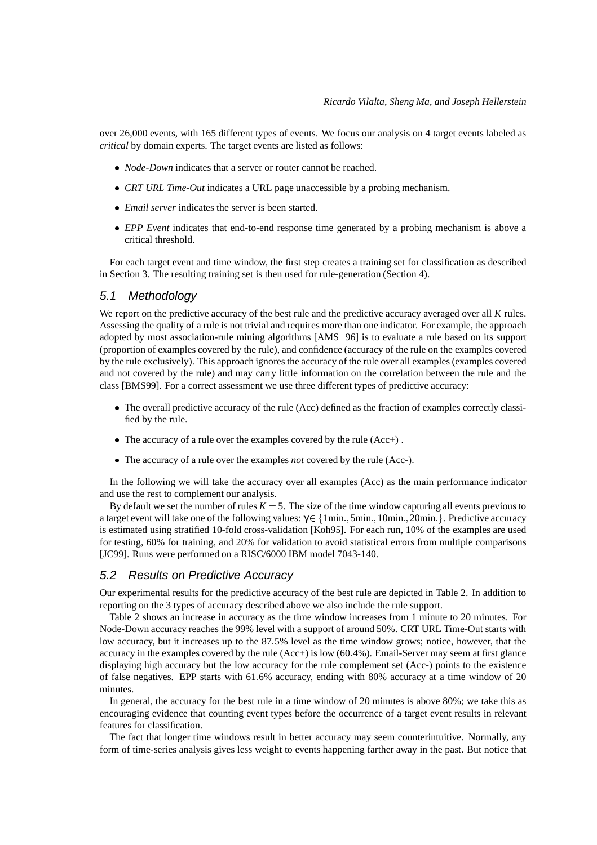over 26,000 events, with 165 different types of events. We focus our analysis on 4 target events labeled as *critical* by domain experts. The target events are listed as follows:

- <sup>0</sup> *Node-Down* indicates that a server or router cannot be reached.
- <sup>0</sup> *CRT URL Time-Out* indicates a URL page unaccessible by a probing mechanism.
- <sup>0</sup> *Email server* indicates the server is been started.
- *EPP Event* indicates that end-to-end response time generated by a probing mechanism is above a critical threshold.

For each target event and time window, the first step creates a training set for classification as described in Section 3. The resulting training set is then used for rule-generation (Section 4).

#### 5.1 Methodology

We report on the predictive accuracy of the best rule and the predictive accuracy averaged over all *K* rules. Assessing the quality of a rule is not trivial and requires more than one indicator. For example, the approach adopted by most association-rule mining algorithms [AMS<sup>+</sup>96] is to evaluate a rule based on its support (proportion of examples covered by the rule), and confidence (accuracy of the rule on the examples covered by the rule exclusively). This approach ignores the accuracy of the rule over all examples(examples covered and not covered by the rule) and may carry little information on the correlation between the rule and the class [BMS99]. For a correct assessment we use three different types of predictive accuracy:

- The overall predictive accuracy of the rule (Acc) defined as the fraction of examples correctly classified by the rule.
- <sup>0</sup> The accuracy of a rule over the examples covered by the rule (Acc+) .
- <sup>0</sup> The accuracy of a rule over the examples *not* covered by the rule (Acc-).

In the following we will take the accuracy over all examples (Acc) as the main performance indicator and use the rest to complement our analysis.

By default we set the number of rules  $K = 5$ . The size of the time window capturing all events previous to a target event will take one of the following values:  $\gamma \in \{1 \text{min.}, 5 \text{min.}, 10 \text{min.}, 20 \text{min.}\}.$  Predictive accuracy is estimated using stratified 10-fold cross-validation [Koh95]. For each run, 10% of the examples are used for testing, 60% for training, and 20% for validation to avoid statistical errors from multiple comparisons [JC99]. Runs were performed on a RISC/6000 IBM model 7043-140.

### 5.2 Results on Predictive Accuracy

Our experimental results for the predictive accuracy of the best rule are depicted in Table 2. In addition to reporting on the 3 types of accuracy described above we also include the rule support.

Table 2 shows an increase in accuracy as the time window increases from 1 minute to 20 minutes. For Node-Down accuracy reaches the 99% level with a support of around 50%. CRT URL Time-Out starts with low accuracy, but it increases up to the 87.5% level as the time window grows; notice, however, that the accuracy in the examples covered by the rule (Acc+) is low (60 4%). Email-Server may seem at first glance displaying high accuracy but the low accuracy for the rule complement set (Acc-) points to the existence of false negatives. EPP starts with 61 6% accuracy, ending with 80% accuracy at a time window of 20 minutes.

In general, the accuracy for the best rule in a time window of 20 minutes is above 80%; we take this as encouraging evidence that counting event types before the occurrence of a target event results in relevant features for classification.

The fact that longer time windows result in better accuracy may seem counterintuitive. Normally, any form of time-series analysis gives less weight to events happening farther away in the past. But notice that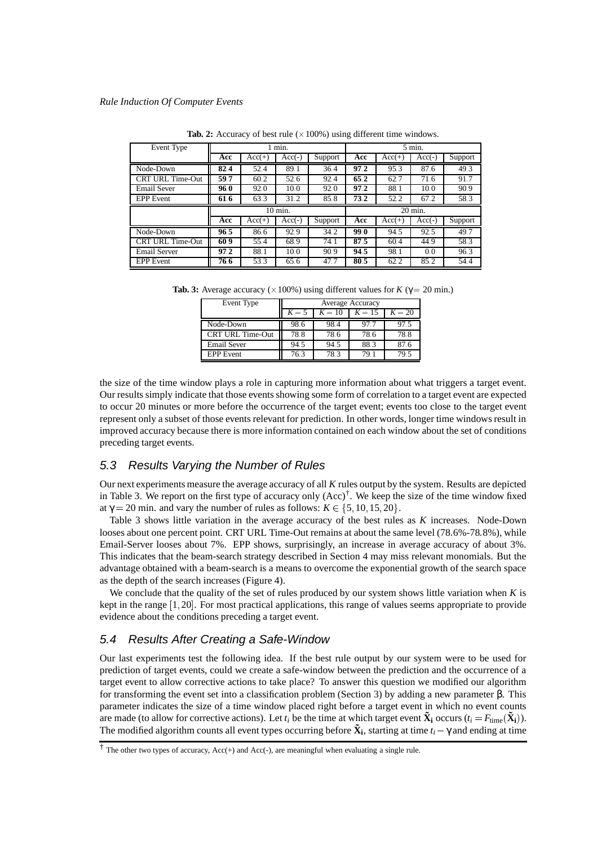| Event Type              | 1 min.  |          |          |         | $5$ min. |          |          |         |  |
|-------------------------|---------|----------|----------|---------|----------|----------|----------|---------|--|
|                         | Acc     | $Acc(+)$ | $Acc(-)$ | Support | Acc      | $Acc(+)$ | $Acc(-)$ | Support |  |
| Node-Down               | 82.4    | 52.4     | 89.1     | 36.4    | 97.2     | 95.3     | 87.6     | 49.3    |  |
| <b>CRT URL Time-Out</b> | 59.7    | 60.2     | 52.6     | 92.4    | 65.2     | 62.7     | 71.6     | 91.7    |  |
| <b>Email Sever</b>      | 96.0    | 92.0     | 10.0     | 92.0    | 97.2     | 88.1     | 10.0     | 90.9    |  |
| <b>EPP</b> Event        | 61.6    | 63.3     | 31.2     | 85.8    | 73.2     | 52.2     | 67.2     | 58.3    |  |
|                         | 10 min. |          |          |         | 20 min.  |          |          |         |  |
|                         | Acc     | $Acc(+)$ | $Acc(-)$ | Support | Acc      | $Acc(+)$ | $Acc(-)$ | Support |  |
| Node-Down               | 96.5    | 86.6     | 92.9     | 34.2    | 99.0     | 94.5     | 92.5     | 49.7    |  |
| <b>CRT URL Time-Out</b> | 60.9    | 55.4     | 68.9     | 74.1    | 87.5     | 60.4     | 44.9     | 58.3    |  |
| <b>Email Server</b>     | 97.2    | 88.1     | 10.0     | 90.9    | 94.5     | 98.1     | 0.0      | 96.3    |  |
| <b>EPP</b> Event        | 76.6    | 53.3     | 65.6     | 47.7    | 80.5     | 62.2     | 85.2     | 54.4    |  |

**Tab. 2:** Accuracy of best rule  $(\times 100\%)$  using different time windows.

**Tab. 3:** Average accuracy ( $\times$ 100%) using different values for *K* ( $\gamma$  = 20 min.)

| Event Type         | Average Accuracy |          |          |          |  |  |
|--------------------|------------------|----------|----------|----------|--|--|
|                    | $K=5$            | $K = 10$ | $K = 15$ | $K = 20$ |  |  |
| Node-Down          | 98.6             | 98.4     | 97.7     | 97.5     |  |  |
| CRT URL Time-Out   | 78.8             | 78.6     | 78.6     | 78.8     |  |  |
| <b>Email Sever</b> | 94.5             | 94.5     | 88.3     | 87.6     |  |  |
| <b>EPP</b> Event   | 76.3             | 78.3     | 79.1     | 79.5     |  |  |

the size of the time window plays a role in capturing more information about what triggers a target event. Our results simply indicate that those events showing some form of correlation to a target event are expected to occur 20 minutes or more before the occurrence of the target event; events too close to the target event represent only a subset of those events relevant for prediction. In other words, longer time windows result in improved accuracy because there is more information contained on each window about the set of conditions preceding target events.

#### 5.3 Results Varying the Number of Rules

Our next experiments measure the average accuracy of all *K* rules output by the system. Results are depicted in Table 3. We report on the first type of accuracy only  $(Acc)^{\dagger}$ . We keep the size of the time window fixed at  $\gamma = 20$  min. and vary the number of rules as follows:  $K \in \{5, 10, 15, 20\}$ .

Table 3 shows little variation in the average accuracy of the best rules as *K* increases. Node-Down looses about one percent point. CRT URL Time-Out remains at about the same level (78.6%-78.8%), while Email-Server looses about 7%. EPP shows, surprisingly, an increase in average accuracy of about 3%. This indicates that the beam-search strategy described in Section 4 may miss relevant monomials. But the advantage obtained with a beam-search is a means to overcome the exponential growth of the search space as the depth of the search increases (Figure 4).

We conclude that the quality of the set of rules produced by our system shows little variation when *K* is kept in the range [1, 20]. For most practical applications, this range of values seems appropriate to provide evidence about the conditions preceding a target event.

### 5.4 Results After Creating a Safe-Window

Our last experiments test the following idea. If the best rule output by our system were to be used for prediction of target events, could we create a safe-window between the prediction and the occurrence of a target event to allow corrective actions to take place? To answer this question we modified our algorithm for transforming the event set into a classification problem (Section 3) by adding a new parameter β. This parameter indicates the size of a time window placed right before a target event in which no event counts are made (to allow for corrective actions). Let  $t_i$  be the time at which target event  $\tilde{\mathbf{X}}_i$  occurs  $(t_i = F_{time}(\tilde{\mathbf{X}}_i))$ . The modified algorithm counts all event types occurring before  $\tilde{\bf X_i}$ , starting at time  $t_i-\gamma$  and ending at time

 $\dagger$  The other two types of accuracy, Acc(+) and Acc(-), are meaningful when evaluating a single rule.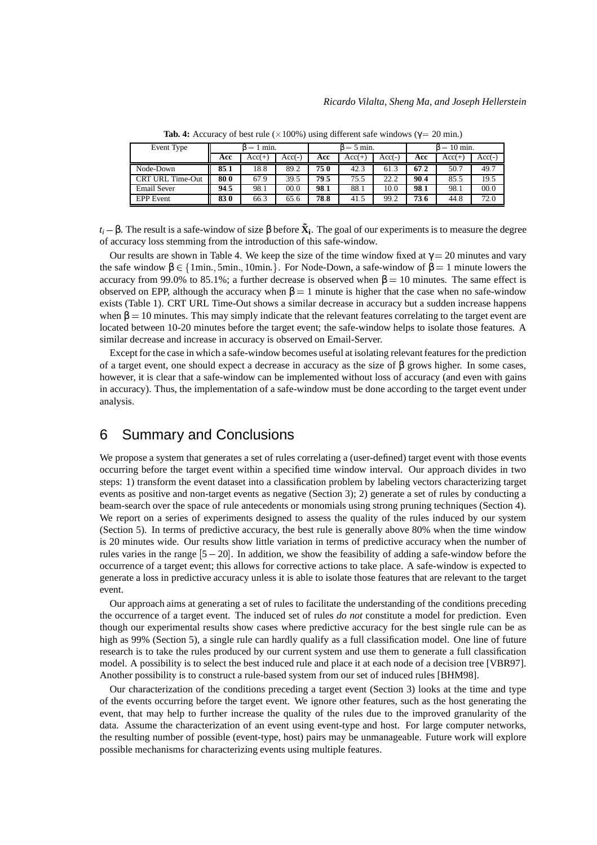| Event Type         | .umin = د |          |        | $3 = 5$ min. |          |          | $\beta = 10$ min. |          |          |
|--------------------|-----------|----------|--------|--------------|----------|----------|-------------------|----------|----------|
|                    | Acc       | $Acc(+)$ | (-)Acc | Acc          | $Acc(+)$ | $Acc(-)$ | Acc               | $Acc(+)$ | $Acc(-)$ |
| Node-Down          | 85.1      | 18.8     | 89.2   | 75.0         | 42.3     | 61.3     | 67.2              | 50.7     | 49.7     |
| CRT URL Time-Out   | 80.0      | 67.9     | 39.5   | 79.5         | 75.5     | 22.2     | 90.4              | 85.5     | 19.5     |
| <b>Email Sever</b> | 94.5      | 98.1     | 00.0   | 98.1         | 88.1     | 10.0     | 98.1              | 98.1     | 00.0     |
| <b>EPP</b> Event   | 83.0      | 66.3     | 65.6   | 78.8         | 41.5     | 99.2     | 73.6              | 44.8     | 72.0     |

**Tab. 4:** Accuracy of best rule ( $\times$ 100%) using different safe windows ( $\gamma$  = 20 min.)

 $t_i$  – β. The result is a safe-window of size β before  $\tilde{\bf X}_i$ . The goal of our experiments is to measure the degree of accuracy loss stemming from the introduction of this safe-window.

Our results are shown in Table 4. We keep the size of the time window fixed at  $\gamma = 20$  minutes and vary the safe window  $\beta \in \{\text{1min.}, \text{5min.}, \text{10min.}\}\.$  For Node-Down, a safe-window of  $\beta = 1$  minute lowers the accuracy from 99.0% to 85.1%; a further decrease is observed when  $β = 10$  minutes. The same effect is observed on EPP, although the accuracy when  $β = 1$  minute is higher that the case when no safe-window exists (Table 1). CRT URL Time-Out shows a similar decrease in accuracy but a sudden increase happens when  $\beta = 10$  minutes. This may simply indicate that the relevant features correlating to the target event are located between 10-20 minutes before the target event; the safe-window helps to isolate those features. A similar decrease and increase in accuracy is observed on Email-Server.

Except for the case in which a safe-window becomes useful at isolating relevant features for the prediction of a target event, one should expect a decrease in accuracy as the size of  $\beta$  grows higher. In some cases, however, it is clear that a safe-window can be implemented without loss of accuracy (and even with gains in accuracy). Thus, the implementation of a safe-window must be done according to the target event under analysis.

# 6 Summary and Conclusions

We propose a system that generates a set of rules correlating a (user-defined) target event with those events occurring before the target event within a specified time window interval. Our approach divides in two steps: 1) transform the event dataset into a classification problem by labeling vectors characterizing target events as positive and non-target events as negative (Section 3); 2) generate a set of rules by conducting a beam-search over the space of rule antecedents or monomials using strong pruning techniques (Section 4). We report on a series of experiments designed to assess the quality of the rules induced by our system (Section 5). In terms of predictive accuracy, the best rule is generally above 80% when the time window is 20 minutes wide. Our results show little variation in terms of predictive accuracy when the number of rules varies in the range  $[5 - 20]$ . In addition, we show the feasibility of adding a safe-window before the occurrence of a target event; this allows for corrective actions to take place. A safe-window is expected to generate a loss in predictive accuracy unless it is able to isolate those features that are relevant to the target event.

Our approach aims at generating a set of rules to facilitate the understanding of the conditions preceding the occurrence of a target event. The induced set of rules *do not* constitute a model for prediction. Even though our experimental results show cases where predictive accuracy for the best single rule can be as high as 99% (Section 5), a single rule can hardly qualify as a full classification model. One line of future research is to take the rules produced by our current system and use them to generate a full classification model. A possibility is to select the best induced rule and place it at each node of a decision tree [VBR97]. Another possibility is to construct a rule-based system from our set of induced rules [BHM98].

Our characterization of the conditions preceding a target event (Section 3) looks at the time and type of the events occurring before the target event. We ignore other features, such as the host generating the event, that may help to further increase the quality of the rules due to the improved granularity of the data. Assume the characterization of an event using event-type and host. For large computer networks, the resulting number of possible (event-type, host) pairs may be unmanageable. Future work will explore possible mechanisms for characterizing events using multiple features.